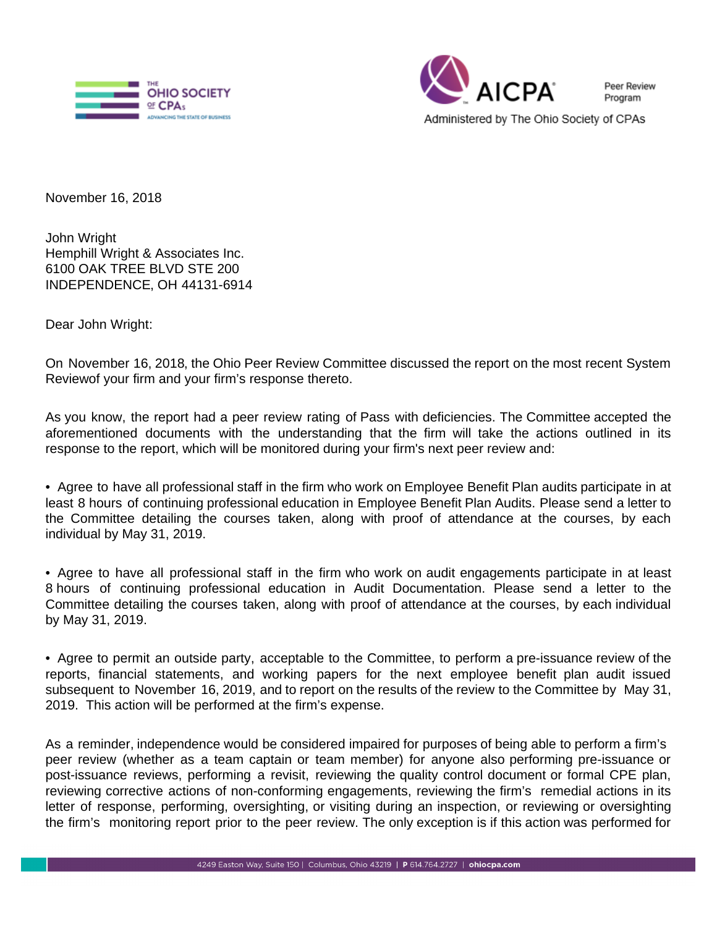



November 16, 2018

John Wright Hemphill Wright & Associates Inc. 6100 OAK TREE BLVD STE 200 INDEPENDENCE, OH 44131-6914

Dear John Wright:

On November 16, 2018, the Ohio Peer Review Committee discussed the report on the most recent System Reviewof your firm and your firm's response thereto.

As you know, the report had a peer review rating of Pass with deficiencies. The Committee accepted the aforementioned documents with the understanding that the firm will take the actions outlined in its response to the report, which will be monitored during your firm's next peer review and:

• Agree to have all professional staff in the firm who work on Employee Benefit Plan audits participate in at least 8 hours of continuing professional education in Employee Benefit Plan Audits. Please send a letter to the Committee detailing the courses taken, along with proof of attendance at the courses, by each individual by May 31, 2019.

• Agree to have all professional staff in the firm who work on audit engagements participate in at least 8 hours of continuing professional education in Audit Documentation. Please send a letter to the Committee detailing the courses taken, along with proof of attendance at the courses, by each individual by May 31, 2019.

• Agree to permit an outside party, acceptable to the Committee, to perform a pre-issuance review of the reports, financial statements, and working papers for the next employee benefit plan audit issued subsequent to November 16, 2019, and to report on the results of the review to the Committee by May 31, 2019. This action will be performed at the firm's expense.

As a reminder, independence would be considered impaired for purposes of being able to perform a firm's peer review (whether as a team captain or team member) for anyone also performing pre-issuance or post-issuance reviews, performing a revisit, reviewing the quality control document or formal CPE plan, reviewing corrective actions of non-conforming engagements, reviewing the firm's remedial actions in its letter of response, performing, oversighting, or visiting during an inspection, or reviewing or oversighting the firm's monitoring report prior to the peer review. The only exception is if this action was performed for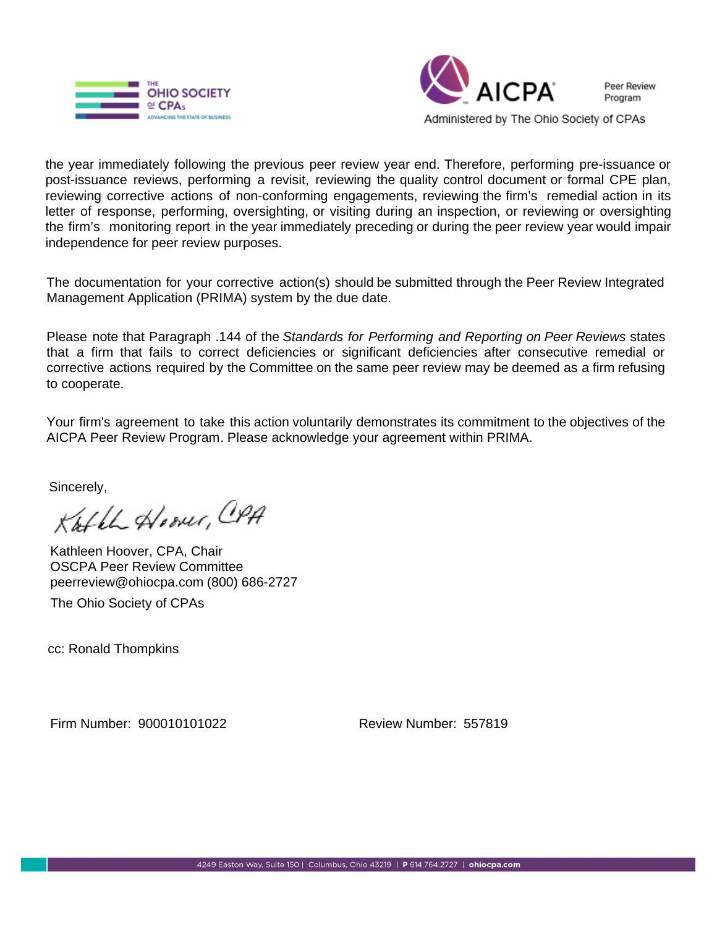



Peer Review Program

Administered by The Ohio Society of CPAs

the year immediately following the previous peer review year end. Therefore, performing pre-issuance or post-issuance reviews, performing a revisit, reviewing the quality control document or formal CPE plan, reviewing corrective actions of non-conforming engagements, reviewing the firm's remedial action in its letter of response, performing, oversighting, or visiting during an inspection, or reviewing or oversighting the firm's monitoring report in the year immediately preceding or during the peer review year would impair independence for peer review purposes.

The documentation for your corrective action(s) should be submitted through the Peer Review Integrated Management Application (PRIMA) system by the due date.

Please note that Paragraph .144 of the Standards for Performing and Reporting on Peer Reviews states that a firm that fails to correct deficiencies or significant deficiencies after consecutive remedial or corrective actions required by the Committee on the same peer review may be deemed as a firm refusing to cooperate.

Your firm's agreement to take this action voluntarily demonstrates its commitment to the objectives of the AICPA Peer Review Program. Please acknowledge your agreement within PRIMA.

Sincerely,

Kathle Hoover, CPA

Kathleen Hoover, CPA, Chair OSCPA Peer Review Committee peerreview@ohiocpa.com (800) 686-2727 The Ohio Society of CPAs

cc: Ronald Thompkins

Firm Number: 900010101022 Review Number: 557819